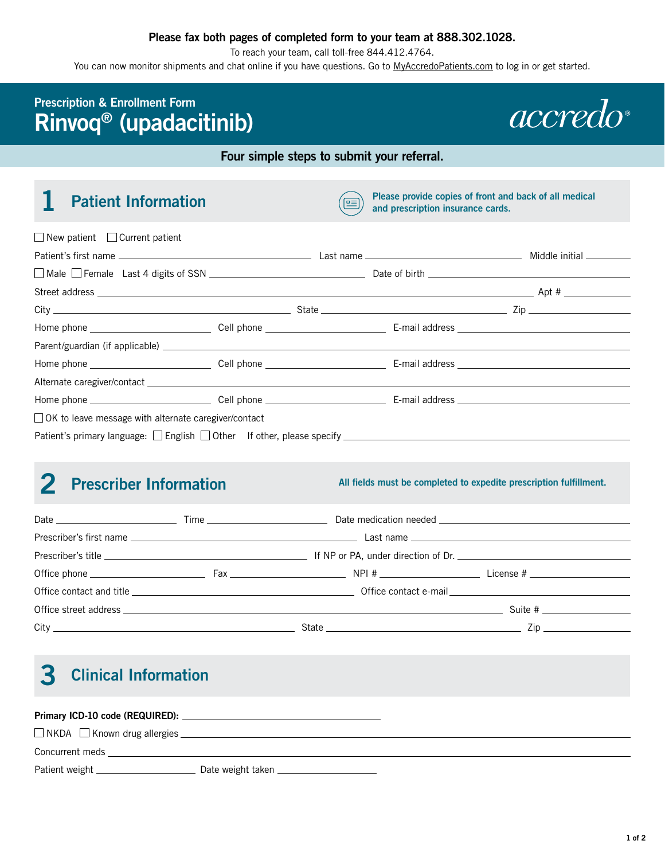### **Please fax both pages of completed form to your team at 888.302.1028.**

To reach your team, call toll-free 844.412.4764.

You can now monitor shipments and chat online if you have questions. Go to [MyAccredoPatients.com](https://MyAccredoPatients.com) to log in or get started.

## **Prescription & Enrollment Form Rinvoq® (upadacitinib)**



## **Four simple steps to submit your referral.**

| <b>Patient Information</b>                           |                                                                                         | 드 | Please provide copies of front and back of all medical<br>and prescription insurance cards. |                                                                                                                                                                                                                                                                                                                                                                                        |
|------------------------------------------------------|-----------------------------------------------------------------------------------------|---|---------------------------------------------------------------------------------------------|----------------------------------------------------------------------------------------------------------------------------------------------------------------------------------------------------------------------------------------------------------------------------------------------------------------------------------------------------------------------------------------|
| $\Box$ New patient $\Box$ Current patient            |                                                                                         |   |                                                                                             |                                                                                                                                                                                                                                                                                                                                                                                        |
|                                                      |                                                                                         |   |                                                                                             |                                                                                                                                                                                                                                                                                                                                                                                        |
|                                                      |                                                                                         |   |                                                                                             |                                                                                                                                                                                                                                                                                                                                                                                        |
|                                                      |                                                                                         |   |                                                                                             |                                                                                                                                                                                                                                                                                                                                                                                        |
|                                                      |                                                                                         |   |                                                                                             | $City$ $\qquad \qquad \qquad$ State $\qquad \qquad \qquad$ State $\qquad \qquad$ $\qquad \qquad$ $\qquad \qquad$ $\qquad \qquad$ $\qquad \qquad$ $\qquad \qquad$ $\qquad \qquad$ $\qquad \qquad$ $\qquad \qquad$ $\qquad \qquad$ $\qquad \qquad$ $\qquad \qquad$ $\qquad \qquad$ $\qquad \qquad$ $\qquad \qquad$ $\qquad$ $\qquad \qquad$ $\qquad$ $\qquad$ $\qquad$ $\qquad$ $\qquad$ |
|                                                      |                                                                                         |   |                                                                                             |                                                                                                                                                                                                                                                                                                                                                                                        |
|                                                      |                                                                                         |   |                                                                                             |                                                                                                                                                                                                                                                                                                                                                                                        |
|                                                      |                                                                                         |   |                                                                                             |                                                                                                                                                                                                                                                                                                                                                                                        |
|                                                      |                                                                                         |   |                                                                                             |                                                                                                                                                                                                                                                                                                                                                                                        |
|                                                      |                                                                                         |   |                                                                                             |                                                                                                                                                                                                                                                                                                                                                                                        |
| OK to leave message with alternate caregiver/contact |                                                                                         |   |                                                                                             |                                                                                                                                                                                                                                                                                                                                                                                        |
|                                                      | Patient's primary language: $\Box$ English $\Box$ Other If other, please specify $\Box$ |   |                                                                                             |                                                                                                                                                                                                                                                                                                                                                                                        |

# 2 Prescriber Information

**All fields must be completed to expedite prescription fulfillment.** 

# **3 Clinical Information**

| □ NKDA □ Known drug allergies _____________                                                                                                                                                                                          |                                          |  |
|--------------------------------------------------------------------------------------------------------------------------------------------------------------------------------------------------------------------------------------|------------------------------------------|--|
| Concurrent meds                                                                                                                                                                                                                      |                                          |  |
| Patient weight <b>container the contact of the contact of the contact of the contact of the contact of the contact of the contact of the contact of the contact of the contact of the contact of the contact of the contact of t</b> | Date weight taken ______________________ |  |